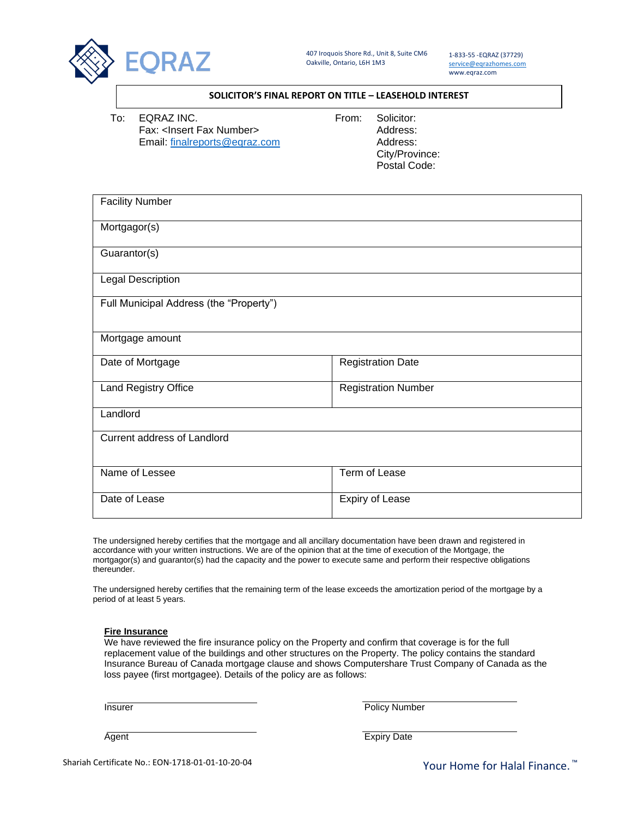

1-833-55 -EQRAZ (37729) [service@eqrazhomes.com](mailto:service@eqrazhomes.com) www.eqraz.com

## **SOLICITOR'S FINAL REPORT ON TITLE – LEASEHOLD INTEREST**

To: EQRAZ INC. To: From: Solicitor: Fax: <Insert Fax Number> Address: Email: [finalreports@eqraz.com](mailto:finalreports@eqraz.com) Address:

City/Province: Postal Code:

| <b>Facility Number</b>                  |                            |
|-----------------------------------------|----------------------------|
| Mortgagor(s)                            |                            |
| Guarantor(s)                            |                            |
| <b>Legal Description</b>                |                            |
| Full Municipal Address (the "Property") |                            |
| Mortgage amount                         |                            |
| Date of Mortgage                        | <b>Registration Date</b>   |
| Land Registry Office                    | <b>Registration Number</b> |
| Landlord                                |                            |
| <b>Current address of Landlord</b>      |                            |
| Name of Lessee                          | Term of Lease              |
| Date of Lease                           | <b>Expiry of Lease</b>     |

The undersigned hereby certifies that the mortgage and all ancillary documentation have been drawn and registered in accordance with your written instructions. We are of the opinion that at the time of execution of the Mortgage, the mortgagor(s) and guarantor(s) had the capacity and the power to execute same and perform their respective obligations thereunder.

The undersigned hereby certifies that the remaining term of the lease exceeds the amortization period of the mortgage by a period of at least 5 years.

## **Fire Insurance**

We have reviewed the fire insurance policy on the Property and confirm that coverage is for the full replacement value of the buildings and other structures on the Property. The policy contains the standard Insurance Bureau of Canada mortgage clause and shows Computershare Trust Company of Canada as the loss payee (first mortgagee). Details of the policy are as follows:

Insurer Policy Number

Agent Expiry Date

Your Home for Halal Finance.<sup>™</sup>